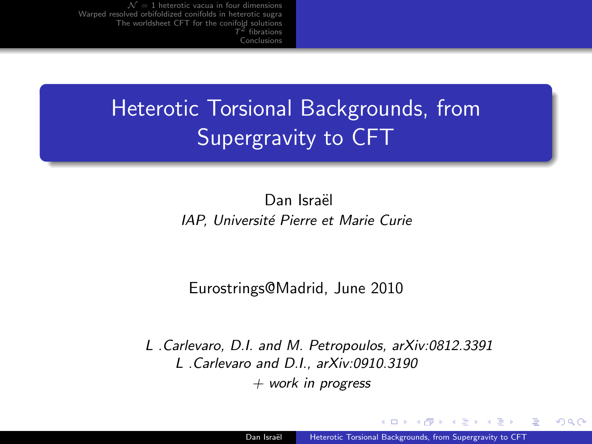# Heterotic Torsional Backgrounds, from Supergravity to CFT

Dan Israël IAP, Université Pierre et Marie Curie

#### Eurostrings@Madrid, June 2010

L .Carlevaro, D.I. and M. Petropoulos, arXiv:0812.3391 L .Carlevaro and D.I., arXiv:0910.3190  $+$  work in progress

<span id="page-0-0"></span> $209$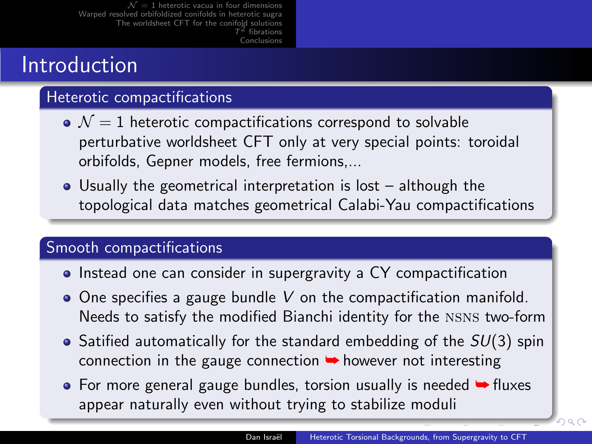### Introduction

#### Heterotic compactifications

- $\bullet$   $\mathcal{N}=1$  heterotic compactifications correspond to solvable perturbative worldsheet CFT only at very special points: toroidal orbifolds, Gepner models, free fermions,...
- Usually the geometrical interpretation is lost although the topological data matches geometrical Calabi-Yau compactifications

#### Smooth compactifications

- Instead one can consider in supergravity a CY compactification
- $\bullet$  One specifies a gauge bundle V on the compactification manifold. Needs to satisfy the modified Bianchi identity for the nsns two-form
- $\bullet$  Satified automatically for the standard embedding of the  $SU(3)$  spin connection in the gauge connection  $\rightarrow$  however not interesting
- $\bullet$  For more general gauge bundles, torsion usually is needed  $\bullet$  fluxes appear naturally even without trying to stabilize moduli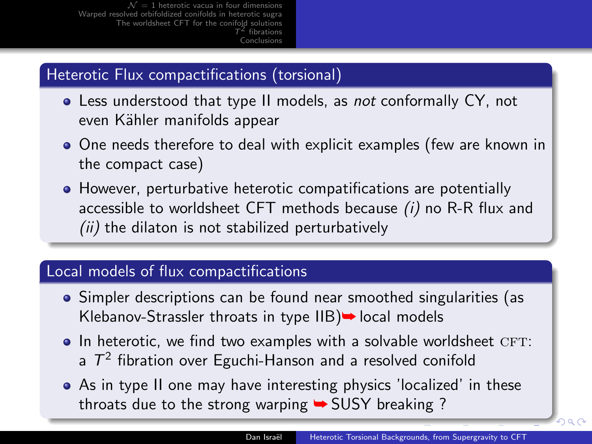#### Heterotic Flux compactifications (torsional)

- Less understood that type II models, as not conformally CY, not even Kähler manifolds appear
- One needs therefore to deal with explicit examples (few are known in the compact case)
- However, perturbative heterotic compatifications are potentially accessible to worldsheet CFT methods because (i) no R-R flux and  $(ii)$  the dilaton is not stabilized perturbatively

#### Local models of flux compactifications

- Simpler descriptions can be found near smoothed singularities (as Klebanov-Strassler throats in type  $IIB$   $\rightarrow$  local models
- $\bullet$  In heterotic, we find two examples with a solvable worldsheet CFT: a  $T^2$  fibration over Eguchi-Hanson and a resolved conifold
- As in type II one may have interesting physics 'localized' in these throats due to the strong warping  $\rightarrow$  SUSY breaking ?

 $2990$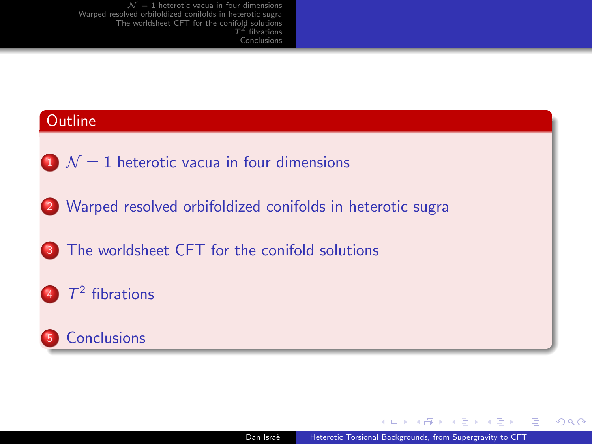# **Outline**  $1 \mathcal{N} = 1$  heterotic vacua in four dimensions <sup>2</sup> [Warped resolved orbifoldized conifolds in heterotic sugra](#page-5-0) 3 [The worldsheet CFT for the conifold solutions](#page-10-0)  $T^2$  [fibrations](#page-13-0) **5** [Conclusions](#page-14-0)

-4 ଲ ⊾

<span id="page-3-0"></span> $E = \Omega Q$ 

化重复 化重变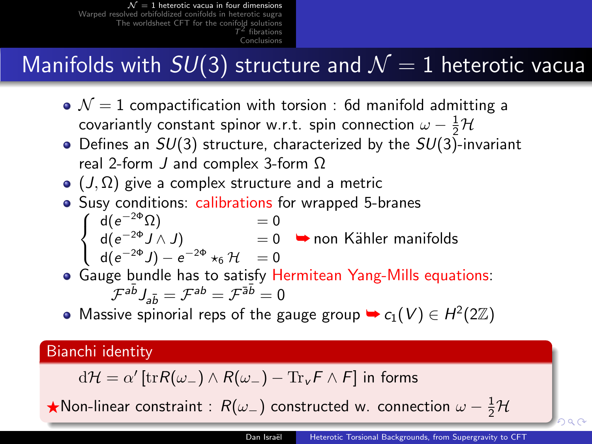# Manifolds with  $SU(3)$  structure and  $\mathcal{N}=1$  heterotic vacua

- $\bullet$   $\mathcal{N}=1$  compactification with torsion : 6d manifold admitting a covariantly constant spinor w.r.t. spin connection  $\omega - \frac{1}{2}\mathcal{H}$
- $\bullet$  Defines an  $SU(3)$  structure, characterized by the  $SU(3)$ -invariant real 2-form J and complex 3-form Ω
- $\bullet$  (J,  $\Omega$ ) give a complex structure and a metric
- Susy conditions: calibrations for wrapped 5-branes  $\sqrt{ }$  $\left\vert \right\vert$  $d(e^{-2\Phi}\Omega)$  = 0
	- $\mathsf{d}(e^{-2\Phi}J\wedge J) \qquad \qquad =0$  $\mathsf{d}(e^{-2\Phi}J)-e^{-2\Phi}\star_6\mathcal{H} \quad =0$  $\rightarrow$  non Kähler manifolds
- $\mathcal{L}$ Gauge bundle has to satisfy Hermitean Yang-Mills equations:  $\left(\mathcal{F}^{a\bar{b}}\right)_{a\bar{b}}=\mathcal{F}^{ab}=\mathcal{F}^{\bar{a}\bar{b}}=0$
- Massive spinorial reps of the gauge group  $\rightarrow c_1(V) \in H^2(2\mathbb{Z})$

#### Bianchi identity

 $\mathrm{d} \mathcal{H} = \alpha' \left[ \mathrm{tr} R(\omega_-) \wedge R(\omega_-) - \mathrm{Tr}_\mathsf{v} \mathsf{F} \wedge \mathsf{F} \right]$  in forms

 $\bigstar$ Non-linear [co](#page-3-0)nstraint :  $R(\omega_-)$  constructed w. co[nn](#page-5-0)[ec](#page-3-0)[ti](#page-4-0)[on](#page-5-0)  $\omega - \frac{1}{2} \mathcal{H}$  $\omega - \frac{1}{2} \mathcal{H}$  $\omega - \frac{1}{2} \mathcal{H}$ 

<span id="page-4-0"></span>han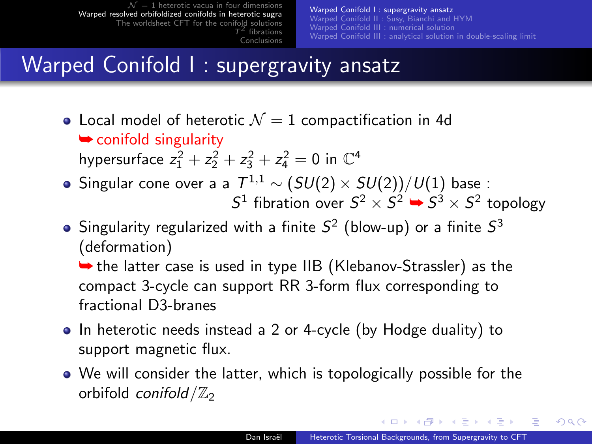[Warped Conifold I : supergravity ansatz](#page-5-0) [Warped Conifold II : Susy, Bianchi and HYM](#page-7-0) [Warped Conifold III : numerical solution](#page-8-0) [Warped Conifold III : analytical solution in double-scaling limit](#page-9-0)

# Warped Conifold I : supergravity ansatz

- Local model of heterotic  $\mathcal{N}=1$  compactification in 4d **► conifold singularity** hypersurface  $z_1^2 + z_2^2 + z_3^2 + z_4^2 = 0$  in  $\mathbb{C}^4$
- Singular cone over a a  $\, T^{1,1} \sim \left( SU(2) \times SU(2) \right) / U(1)$  base :  $S^1$  fibration over  $S^2 \times S^2 \rightarrow S^3 \times S^2$  topology
- Singularity regularized with a finite  $\mathcal{S}^2$  (blow-up) or a finite  $\mathcal{S}^3$ (deformation)

 $\rightarrow$  the latter case is used in type IIB (Klebanov-Strassler) as the compact 3-cycle can support RR 3-form flux corresponding to fractional D3-branes

- In heterotic needs instead a 2 or 4-cycle (by Hodge duality) to support magnetic flux.
- We will consider the latter, which is topologically possible for the orbifold conifold  $\mathbb{Z}_2$

<span id="page-5-0"></span>**A BA A BA**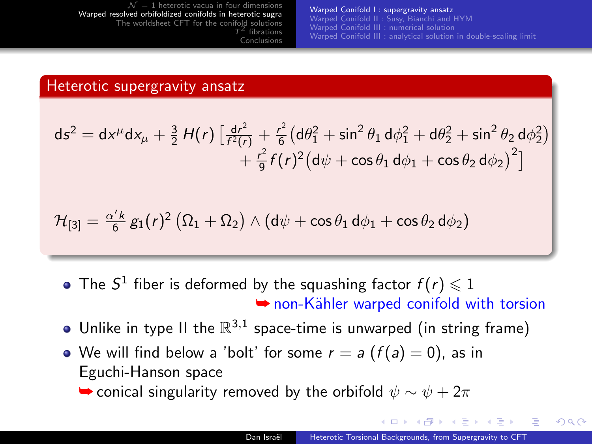[Warped Conifold I : supergravity ansatz](#page-5-0) [Warped Conifold II : Susy, Bianchi and HYM](#page-7-0) [Warped Conifold III : numerical solution](#page-8-0) [Warped Conifold III : analytical solution in double-scaling limit](#page-9-0)

#### Heterotic supergravity ansatz

$$
ds^{2} = dx^{\mu}dx_{\mu} + \frac{3}{2}H(r)\left[\frac{dr^{2}}{f^{2}(r)} + \frac{r^{2}}{6}(d\theta_{1}^{2} + \sin^{2}\theta_{1} d\phi_{1}^{2} + d\theta_{2}^{2} + \sin^{2}\theta_{2} d\phi_{2}^{2}) + \frac{r^{2}}{9}f(r)^{2}(d\psi + \cos\theta_{1} d\phi_{1} + \cos\theta_{2} d\phi_{2})^{2}\right]
$$

$$
\mathcal{H}_{[3]} = \tfrac{\alpha' k}{6} \, g_1(r)^2 \, \big( \Omega_1 + \Omega_2 \big) \wedge \big( \mathsf{d} \psi + \cos \theta_1 \, \mathsf{d} \phi_1 + \cos \theta_2 \, \mathsf{d} \phi_2 \big)
$$

- The  $S^1$  fiber is deformed by the squashing factor  $f(r) \leq 1$ **► non-Kähler warped conifold with torsion**
- Unlike in type II the  $\mathbb{R}^{3,1}$  space-time is unwarped (in string frame)
- We will find below a 'bolt' for some  $r = a(f(a) = 0)$ , as in Eguchi-Hanson space

 $\rightarrow$  conical singularity removed by the orbifold  $\psi \sim \psi + 2\pi$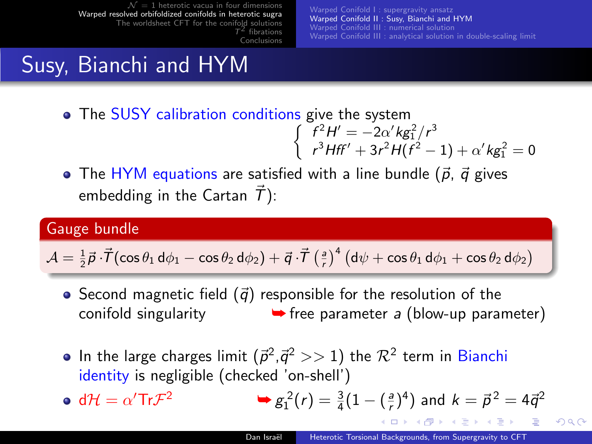[Warped Conifold I : supergravity ansatz](#page-5-0) [Warped Conifold II : Susy, Bianchi and HYM](#page-7-0) [Warped Conifold III : numerical solution](#page-8-0) [Warped Conifold III : analytical solution in double-scaling limit](#page-9-0)

# Susy, Bianchi and HYM

- The SUSY calibration conditions give the system  $\int f^2 H' = -2\alpha' k g_1^2 / r^3$ 
	- $r^3Hff' + 3r^2H(f^2 1) + \alpha' k g_1^2 = 0$
- The HYM equations are satisfied with a line bundle  $(\vec{p}, \vec{q})$  gives embedding in the Cartan  $\vec{T}$ ):

#### Gauge bundle

$$
\mathcal{A} = \frac{1}{2}\vec{\rho}\cdot\vec{\mathcal{T}}(\cos\theta_1\,\mathrm{d}\phi_1 - \cos\theta_2\,\mathrm{d}\phi_2) + \vec{q}\cdot\vec{\mathcal{T}}\left(\frac{a}{r}\right)^4\left(\mathrm{d}\psi + \cos\theta_1\,\mathrm{d}\phi_1 + \cos\theta_2\,\mathrm{d}\phi_2\right)
$$

- Second magnetic field  $(\vec{q})$  responsible for the resolution of the conifold singularity  $\rightarrow$  free parameter a (blow-up parameter)
- In the large charges limit  $(\vec{p}^2,\vec{q}^2>>1)$  the  $\mathcal{R}^2$  term in Bianchi identity is negligible (checked 'on-shell')

• dH = 
$$
\alpha' \text{Tr} \mathcal{F}^2
$$
   
  $\Rightarrow g_1^2(r) = \frac{3}{4}(1 - (\frac{a}{r})^4)$  and  $k = \vec{p}^2 = 4\vec{q}^2$ 

<span id="page-7-0"></span>**Alban Alba**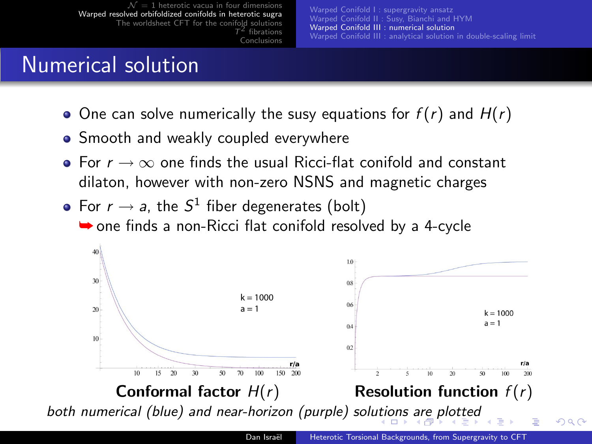[Warped Conifold I : supergravity ansatz](#page-5-0) [Warped Conifold II : Susy, Bianchi and HYM](#page-7-0) [Warped Conifold III : numerical solution](#page-8-0) [Warped Conifold III : analytical solution in double-scaling limit](#page-9-0)

#### Numerical solution

- One can solve numerically the susy equations for  $f(r)$  and  $H(r)$
- Smooth and weakly coupled everywhere
- For  $r \to \infty$  one finds the usual Ricci-flat conifold and constant dilaton, however with non-zero NSNS and magnetic charges
- For  $r \to a$ , the  $S^1$  fiber degenerates (bolt)  $\rightarrow$  one finds a non-Ricci flat conifold resolved by a 4-cycle



<span id="page-8-0"></span>つへへ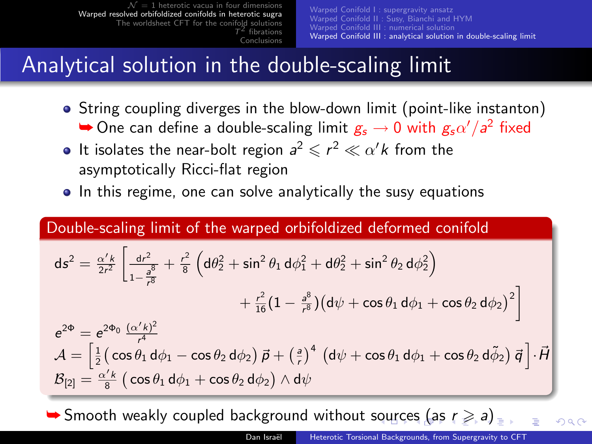### Analytical solution in the double-scaling limit

- String coupling diverges in the blow-down limit (point-like instanton)  $\blacktriangleright$  One can define a double-scaling limit  $g_s \to 0$  with  $g_s \alpha'/a^2$  fixed
- It isolates the near-bolt region  $a^2 \leqslant r^2 \ll \alpha' k$  from the asymptotically Ricci-flat region
- In this regime, one can solve analytically the susy equations

#### Double-scaling limit of the warped orbifoldized deformed conifold

$$
ds^{2} = \frac{\alpha' k}{2r^{2}} \left[ \frac{dr^{2}}{1 - \frac{a^{8}}{r^{8}}} + \frac{r^{2}}{8} \left( d\theta_{2}^{2} + \sin^{2} \theta_{1} d\phi_{1}^{2} + d\theta_{2}^{2} + \sin^{2} \theta_{2} d\phi_{2}^{2} \right) \right.+ \frac{r^{2}}{16} (1 - \frac{a^{8}}{r^{8}}) (d\psi + \cos \theta_{1} d\phi_{1} + \cos \theta_{2} d\phi_{2})^{2} \right]e^{2\Phi} = e^{2\Phi_{0}} \frac{(\alpha' k)^{2}}{r^{4}}\mathcal{A} = \left[ \frac{1}{2} \left( \cos \theta_{1} d\phi_{1} - \cos \theta_{2} d\phi_{2} \right) \vec{p} + \left( \frac{a}{r} \right)^{4} \left( d\psi + \cos \theta_{1} d\phi_{1} + \cos \theta_{2} d\tilde{\phi}_{2} \right) \vec{q} \right] \cdot \vec{H}\mathcal{B}_{[2]} = \frac{\alpha' k}{8} \left( \cos \theta_{1} d\phi_{1} + \cos \theta_{2} d\phi_{2} \right) \wedge d\psi
$$

<span id="page-9-0"></span> $\blacktriangleright$  $\blacktriangleright$  $\blacktriangleright$  $\blacktriangleright$  $\blacktriangleright$  Smooth weakly c[ou](#page-8-0)pled background without sour[ce](#page-10-0)[s](#page-10-0) [\(a](#page-9-0)s  $r \ge a$ [\)](#page-4-0).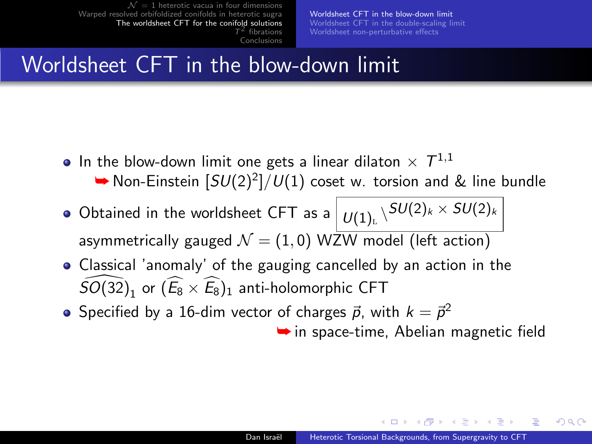[Worldsheet CFT in the blow-down limit](#page-10-0) [Worldsheet CFT in the double-scaling limit](#page-11-0) [Worldsheet non-perturbative effects](#page-12-0)

#### Worldsheet CFT in the blow-down limit

- In the blow-down limit one gets a linear dilaton  $\times$   $\mathcal{T}^{1,1}$ 
	- ▶ Non-Einstein  $[SU(2)^2]/U(1)$  coset w. torsion and & line bundle
- Obtained in the worldsheet CFT as a  $\big\vert \, \nu_{(1)_\mathbb{L}} \backslash^{SU(2)_k \times \, SU(2)_k}$ asymmetrically gauged  $\mathcal{N} = (1, 0)$  WZW model (left action)
- Classical 'anomaly' of the gauging cancelled by an action in the  $\widehat{SO(32)}_1$  or  $(\widehat{E_8} \times \widehat{E_8})_1$  anti-holomorphic CFT
- Specified by a 16-dim vector of charges  $\vec{p}$ , with  $k = \vec{p}^2$

<span id="page-10-0"></span> $\rightarrow$  in space-time, Abelian magnetic field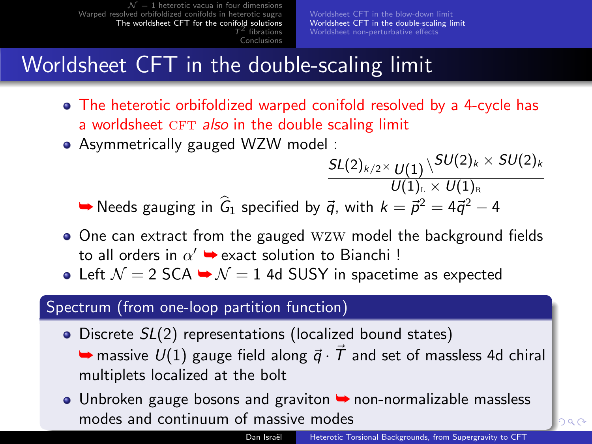# Worldsheet CFT in the double-scaling limit

- The heterotic orbifoldized warped conifold resolved by a 4-cycle has a worldsheet CFT also in the double scaling limit
- Asymmetrically gauged WZW model :

 $\mathcal{SL}(2)_{k/2} \times \mathcal{U}(1) \, \backslash \mathcal{SU}(2)_k \times \mathcal{SU}(2)_k$  $\overline{U(1)}_{\scriptscriptstyle{\rm E}} \times \overline{U(1)}_{\scriptscriptstyle{\rm R}}$ ➡ Needs gauging in  $\widehat{G}_1$  specified by  $\vec{q}$ , with  $k = \vec{p}^2 = 4\vec{q}^2 - 4$ 

- One can extract from the gauged WZW model the background fields to all orders in  $\alpha' \rightarrow$  exact solution to Bianchi !
- Left  $\mathcal{N} = 2$  SCA  $\rightarrow \mathcal{N} = 1$  4d SUSY in spacetime as expected

#### Spectrum (from one-loop partition function)

- Discrete  $SL(2)$  representations (localized bound states)
	- $\rightarrow$  massive  $U(1)$  gauge field along  $\vec{q} \cdot \vec{T}$  and set of massless 4d chiral multiplets localized at the bolt
- <span id="page-11-0"></span>● Unbroken gauge bosons and graviton → non-normalizable massless modes and continuum of massive modes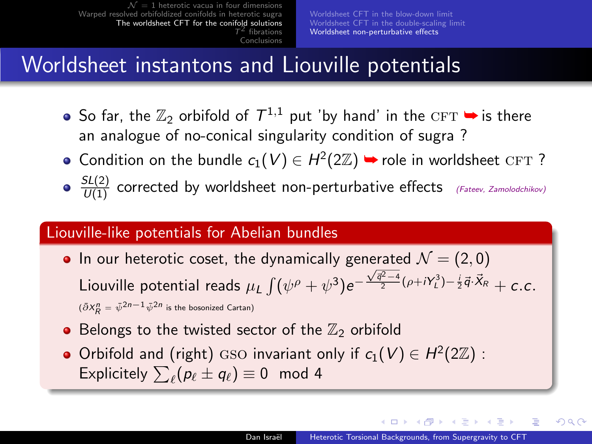### Worldsheet instantons and Liouville potentials

- So far, the  $\mathbb{Z}_2$  orbifold of  $\mathcal{T}^{1,1}$  put 'by hand' in the  $\textsc{cft} \blacktriangleright$  is there an analogue of no-conical singularity condition of sugra ?
- Condition on the bundle  $c_1(V) \in H^2(2\mathbb{Z})$   $\rightarrow$  role in worldsheet CFT?
- $\frac{SL(2)}{U(1)}$  corrected by worldsheet non-perturbative effects (Fateev, Zamolodchikov)

#### Liouville-like potentials for Abelian bundles

- In our heterotic coset, the dynamically generated  $\mathcal{N} = (2,0)$ Liouville potential reads  $\mu_L \int (\psi^\rho + \psi^3) e^ \frac{\sqrt{\vec{q}^2-4}}{2}(\rho+iY_L^3)-\frac{i}{2}\vec{q}\cdot\vec{X}_R + C.C.$  $(\bar{\partial} X_R^n = \bar{\psi}^{2n-1} \bar{\psi}^{2n}$  is the bosonized Cartan)
- Belongs to the twisted sector of the  $\mathbb{Z}_2$  orbifold
- Orbifold and (right) GSO invariant only if  $c_1(V) \in H^2(2\mathbb{Z})$ : Explicitely  $\sum_{\ell} (p_{\ell} \pm q_{\ell}) \equiv 0 \mod 4$

<span id="page-12-0"></span> $2990$ 

**A BAYA BA**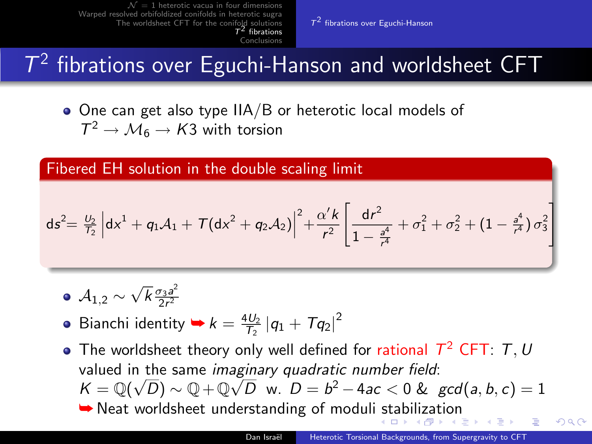[Conclusions](#page-14-0)

 $T<sup>2</sup>$  [fibrations over Eguchi-Hanson](#page-13-0)

# $T^2$  fibrations over Eguchi-Hanson and worldsheet CFT

 $\bullet$  One can get also type IIA/B or heterotic local models of  $T^2 \to M_6 \to K3$  with torsion

Fibered EH solution in the double scaling limit

$$
ds^2 = \frac{U_2}{T_2} \left| dx^1 + q_1 A_1 + \mathcal{T} (dx^2 + q_2 A_2) \right|^2 + \frac{\alpha' k}{r^2} \left[ \frac{dr^2}{1 - \frac{a^4}{r^4}} + \sigma_1^2 + \sigma_2^2 + \left( 1 - \frac{a^4}{r^4} \right) \sigma_3^2 \right]
$$

- $\mathcal{A}_{1,2}\sim$ √  $\overline{k} \frac{\sigma_3 a^2}{2r^2}$  $2r^2$
- Bianchi identity  $\blacktriangleright k = \frac{4U_2}{T_2} |q_1 + Tq_2|^2$
- The worldsheet theory only well defined for rational  $T^2$  CFT: T, U valued in the same imaginary quadratic number field:  $K = \mathbb{Q}(\sqrt{D}) \sim \mathbb{Q} + \mathbb{Q}\sqrt{D}$  w.  $D = b^2 - 4ac < 0$  &  $gcd(a, b, c) = 1$ **► Neat worldsheet understanding of moduli [st](#page-12-0)[abi](#page-14-0)[li](#page-12-0)[za](#page-13-0)[ti](#page-14-0)[o](#page-12-0)[n](#page-13-0)**

<span id="page-13-0"></span>つへへ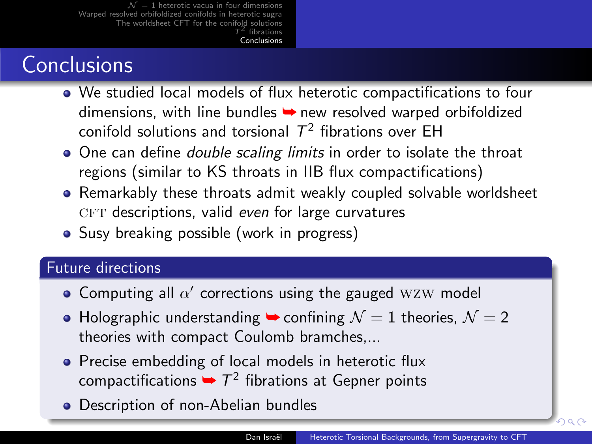# **Conclusions**

- We studied local models of flux heterotic compactifications to four dimensions, with line bundles → new resolved warped orbifoldized conifold solutions and torsional  $\mathcal{T}^2$  fibrations over EH
- One can define *double scaling limits* in order to isolate the throat regions (similar to KS throats in IIB flux compactifications)
- Remarkably these throats admit weakly coupled solvable worldsheet  $CFT$  descriptions, valid even for large curvatures
- Susy breaking possible (work in progress)

#### Future directions

- Computing all  $\alpha'$  corrections using the gauged WZW model
- $\bullet$  Holographic understanding  $\bullet$  confining  $\mathcal{N}=1$  theories,  $\mathcal{N}=2$ theories with compact Coulomb bramches,...
- Precise embedding of local models in heterotic flux compactifications  $\rightarrow$   $T^2$  fibrations at Gepner points
- **•** Description of non-Abelian bundles

<span id="page-14-0"></span>റെ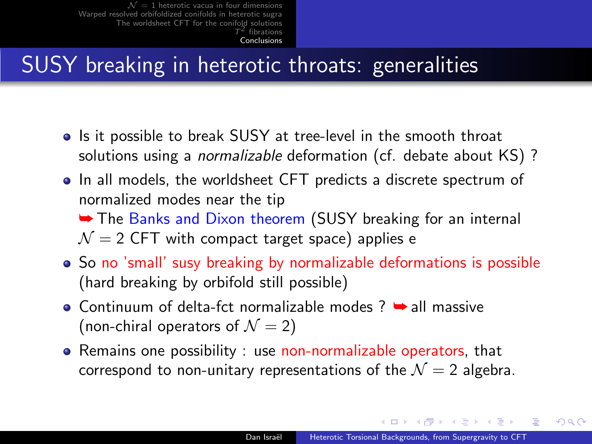# SUSY breaking in heterotic throats: generalities

- Is it possible to break SUSY at tree-level in the smooth throat solutions using a *normalizable* deformation (cf. debate about KS) ?
- In all models, the worldsheet CFT predicts a discrete spectrum of normalized modes near the tip

**► The Banks and Dixon theorem (SUSY breaking for an internal**  $N = 2$  CFT with compact target space) applies e

- So no 'small' susy breaking by normalizable deformations is possible (hard breaking by orbifold still possible)
- $\bullet$  Continuum of delta-fct normalizable modes ?  $\bullet$  all massive (non-chiral operators of  $\mathcal{N} = 2$ )
- Remains one possibility : use non-normalizable operators, that correspond to non-unitary representations of the  $\mathcal{N}=2$  algebra.

**Allen Allen**